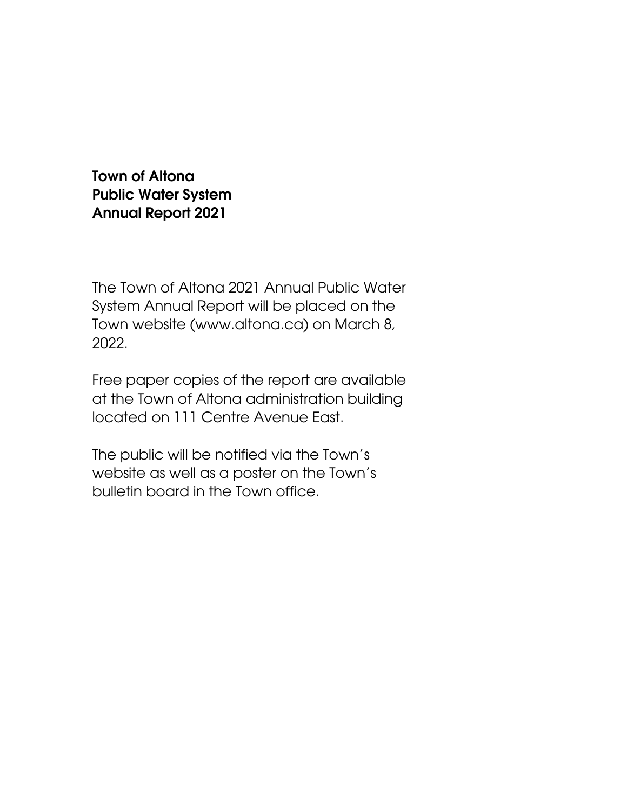Town of Altona Public Water System Annual Report 2021

The Town of Altona 2021 Annual Public Water System Annual Report will be placed on the Town website (www.altona.ca) on March 8, 2022.

Free paper copies of the report are available at the Town of Altona administration building located on 111 Centre Avenue East.

The public will be notified via the Town's website as well as a poster on the Town's bulletin board in the Town office.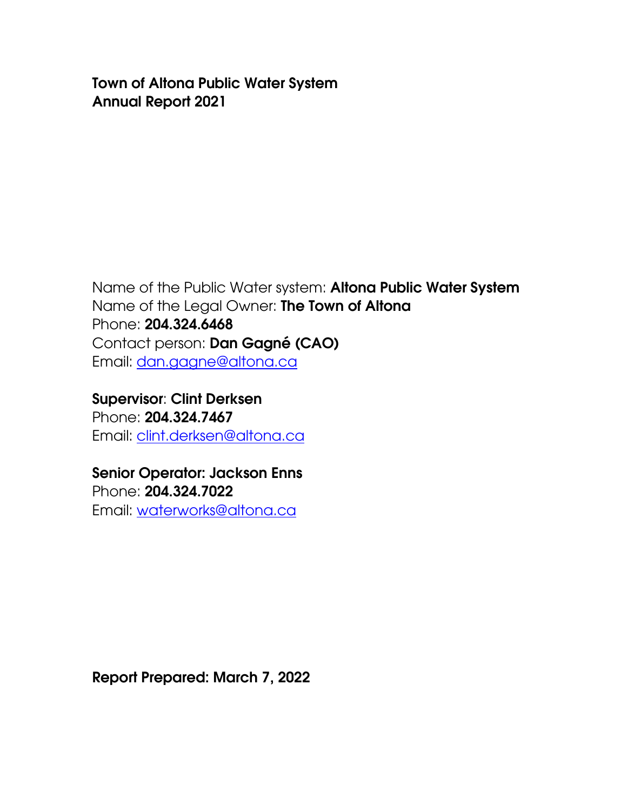Town of Altona Public Water System Annual Report 2021

Name of the Public Water system: Altona Public Water System Name of the Legal Owner: The Town of Altona Phone: 204.324.6468 Contact person: Dan Gagné (CAO) Email: [da](mailto:dale.lyle@altona.ca)n.gagne@altona.ca

Supervisor: Clint Derksen Phone: 204.324.7467 Email: [clint.derksen@altona.ca](mailto:clint.derksen@altona.ca)

Senior Operator: Jackson Enns Phone: 204.324.7022 Email: [waterworks@altona.ca](mailto:waterworks@altona.ca)

Report Prepared: March 7, 2022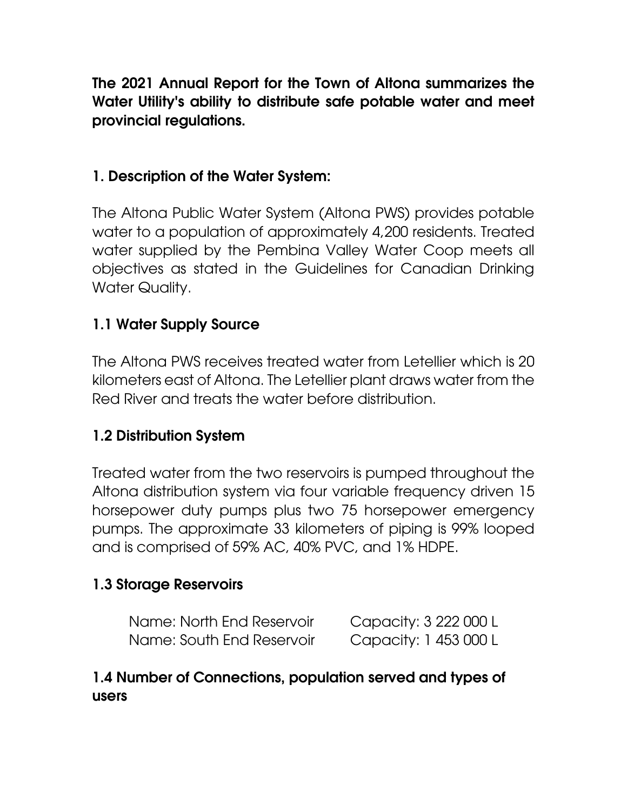The 2021 Annual Report for the Town of Altona summarizes the Water Utility's ability to distribute safe potable water and meet provincial regulations.

#### 1. Description of the Water System:

The Altona Public Water System (Altona PWS) provides potable water to a population of approximately 4,200 residents. Treated water supplied by the Pembina Valley Water Coop meets all objectives as stated in the Guidelines for Canadian Drinking Water Quality.

### 1.1 Water Supply Source

The Altona PWS receives treated water from Letellier which is 20 kilometers east of Altona. The Letellier plant draws water from the Red River and treats the water before distribution.

#### 1.2 Distribution System

Treated water from the two reservoirs is pumped throughout the Altona distribution system via four variable frequency driven 15 horsepower duty pumps plus two 75 horsepower emergency pumps. The approximate 33 kilometers of piping is 99% looped and is comprised of 59% AC, 40% PVC, and 1% HDPE.

#### 1.3 Storage Reservoirs

| Name: North End Reservoir | Capacity: 3 222 000 L |
|---------------------------|-----------------------|
| Name: South End Reservoir | Capacity: 1 453 000 L |

#### 1.4 Number of Connections, population served and types of users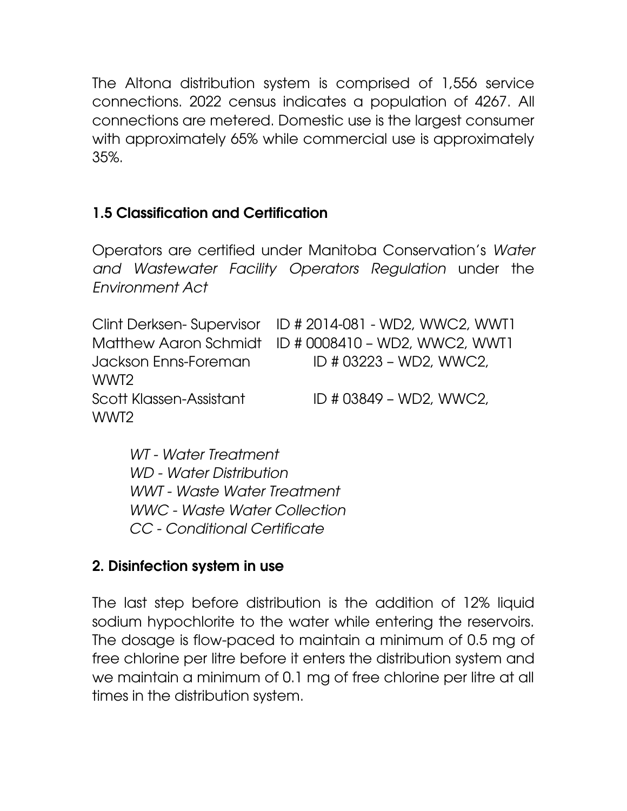The Altona distribution system is comprised of 1,556 service connections. 2022 census indicates a population of 4267. All connections are metered. Domestic use is the largest consumer with approximately 65% while commercial use is approximately 35%.

### 1.5 Classification and Certification

Operators are certified under Manitoba Conservation's *Water and Wastewater Facility Operators Regulation* under the *Environment Act*

|                         | Clint Derksen-Supervisor ID # 2014-081 - WD2, WWC2, WWT1 |
|-------------------------|----------------------------------------------------------|
|                         | Matthew Aaron Schmidt ID # 0008410 - WD2, WWC2, WWT1     |
| Jackson Enns-Foreman    | ID # 03223 - WD2, WWC2,                                  |
| WWT2                    |                                                          |
| Scott Klassen-Assistant | ID # 03849 - WD2, WWC2,                                  |
| WWT2                    |                                                          |

*WT - Water Treatment WD - Water Distribution WWT - Waste Water Treatment WWC - Waste Water Collection CC - Conditional Certificate*

#### 2. Disinfection system in use

The last step before distribution is the addition of 12% liquid sodium hypochlorite to the water while entering the reservoirs. The dosage is flow-paced to maintain a minimum of 0.5 mg of free chlorine per litre before it enters the distribution system and we maintain a minimum of 0.1 mg of free chlorine per litre at all times in the distribution system.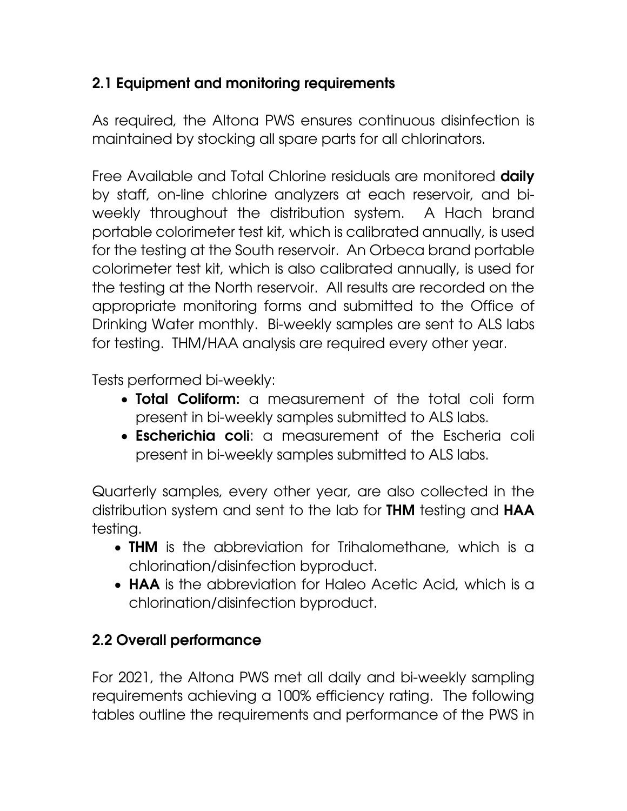# 2.1 Equipment and monitoring requirements

As required, the Altona PWS ensures continuous disinfection is maintained by stocking all spare parts for all chlorinators.

Free Available and Total Chlorine residuals are monitored **daily** by staff, on-line chlorine analyzers at each reservoir, and biweekly throughout the distribution system. A Hach brand portable colorimeter test kit, which is calibrated annually, is used for the testing at the South reservoir. An Orbeca brand portable colorimeter test kit, which is also calibrated annually, is used for the testing at the North reservoir. All results are recorded on the appropriate monitoring forms and submitted to the Office of Drinking Water monthly. Bi-weekly samples are sent to ALS labs for testing. THM/HAA analysis are required every other year.

Tests performed bi-weekly:

- Total Coliform: a measurement of the total coli form present in bi-weekly samples submitted to ALS labs.
- **Escherichia coli:** a measurement of the Escheria coli present in bi-weekly samples submitted to ALS labs.

Quarterly samples, every other year, are also collected in the distribution system and sent to the lab for **THM** testing and **HAA** testing.

- THM is the abbreviation for Trihalomethane, which is a chlorination/disinfection byproduct.
- **HAA** is the abbreviation for Haleo Acetic Acid, which is a chlorination/disinfection byproduct.

# 2.2 Overall performance

For 2021, the Altona PWS met all daily and bi-weekly sampling requirements achieving a 100% efficiency rating. The following tables outline the requirements and performance of the PWS in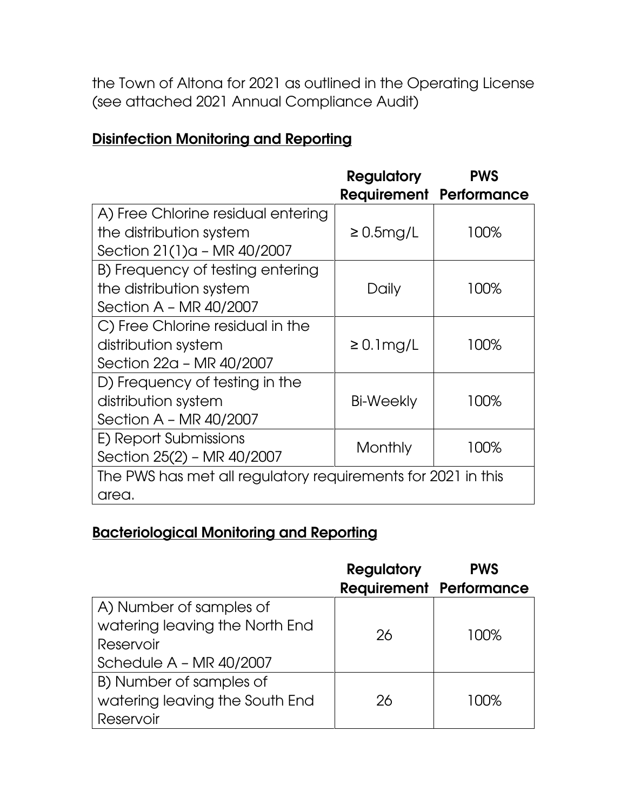the Town of Altona for 2021 as outlined in the Operating License (see attached 2021 Annual Compliance Audit)

# Disinfection Monitoring and Reporting

|                                                              | <b>Regulatory</b><br><b>PWS</b> |                                |  |
|--------------------------------------------------------------|---------------------------------|--------------------------------|--|
|                                                              |                                 | <b>Requirement Performance</b> |  |
| A) Free Chlorine residual entering                           |                                 |                                |  |
| the distribution system                                      | $\geq 0.5$ mg/L                 | 100%                           |  |
| Section 21(1)a - MR 40/2007                                  |                                 |                                |  |
| B) Frequency of testing entering                             |                                 |                                |  |
| the distribution system                                      | Daily                           | 100%                           |  |
| Section A - MR 40/2007                                       |                                 |                                |  |
| C) Free Chlorine residual in the                             |                                 |                                |  |
| distribution system                                          | $\geq 0.1$ mg/L                 | 100%                           |  |
| Section 22a - MR 40/2007                                     |                                 |                                |  |
| D) Frequency of testing in the                               |                                 |                                |  |
| distribution system                                          | Bi-Weekly                       | 100%                           |  |
| Section A - MR 40/2007                                       |                                 |                                |  |
| E) Report Submissions                                        | Monthly                         | 100%                           |  |
| Section 25(2) - MR 40/2007                                   |                                 |                                |  |
| The PWS has met all regulatory requirements for 2021 in this |                                 |                                |  |
| area.                                                        |                                 |                                |  |

### Bacteriological Monitoring and Reporting

|                                | <b>Regulatory</b> | <b>PWS</b>                     |
|--------------------------------|-------------------|--------------------------------|
|                                |                   | <b>Requirement Performance</b> |
| A) Number of samples of        |                   |                                |
| watering leaving the North End | 26                | 100%                           |
| Reservoir                      |                   |                                |
| Schedule $A - MR 40/2007$      |                   |                                |
| B) Number of samples of        |                   |                                |
| watering leaving the South End | 26                | 100%                           |
| Reservoir                      |                   |                                |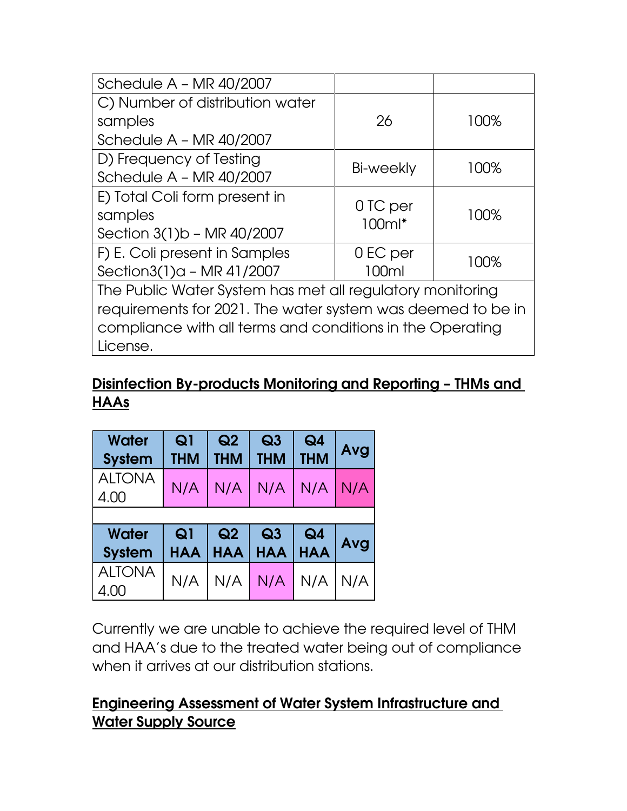| Schedule $A - MR 40/2007$                                   |           |      |  |
|-------------------------------------------------------------|-----------|------|--|
| C) Number of distribution water                             |           |      |  |
| samples                                                     | 26        | 100% |  |
| Schedule $A - MR 40/2007$                                   |           |      |  |
| D) Frequency of Testing                                     | Bi-weekly | 100% |  |
| Schedule $A - MR 40/2007$                                   |           |      |  |
| E) Total Coli form present in                               | 0 TC per  |      |  |
| samples                                                     | $100ml*$  | 100% |  |
| Section 3(1)b - MR 40/2007                                  |           |      |  |
| F) E. Coli present in Samples                               | 0 EC per  | 100% |  |
| Section3(1)a - MR 41/2007                                   | 100ml     |      |  |
| The Public Water System has met all regulatory monitoring   |           |      |  |
| requirements for 2021. The water system was deemed to be in |           |      |  |
| compliance with all terms and conditions in the Operating   |           |      |  |
| License.                                                    |           |      |  |

#### Disinfection By-products Monitoring and Reporting – THMs and HAAs

| Water<br><b>System</b> | Q <sub>1</sub><br>THM | Q2<br><b>THM</b> | Q3<br>THM      | Q <sub>4</sub><br><b>THM</b> | Avg |
|------------------------|-----------------------|------------------|----------------|------------------------------|-----|
| <b>ALTONA</b><br>4.00  | N/A                   | N/A              | N/A            | N/A                          | N/A |
|                        |                       |                  |                |                              |     |
| Water                  | Q <sub>1</sub>        | Q <sub>2</sub>   | Q <sub>3</sub> | Q <sub>4</sub>               | Avg |
| <b>System</b>          | <b>HAA</b>            | <b>HAA</b>       | <b>HAA</b>     | <b>HAA</b>                   |     |
| <b>ALTONA</b><br>4.00  | N/A                   | N/A              | N/A            | N/A                          | N/A |

Currently we are unable to achieve the required level of THM and HAA's due to the treated water being out of compliance when it arrives at our distribution stations.

### Engineering Assessment of Water System Infrastructure and Water Supply Source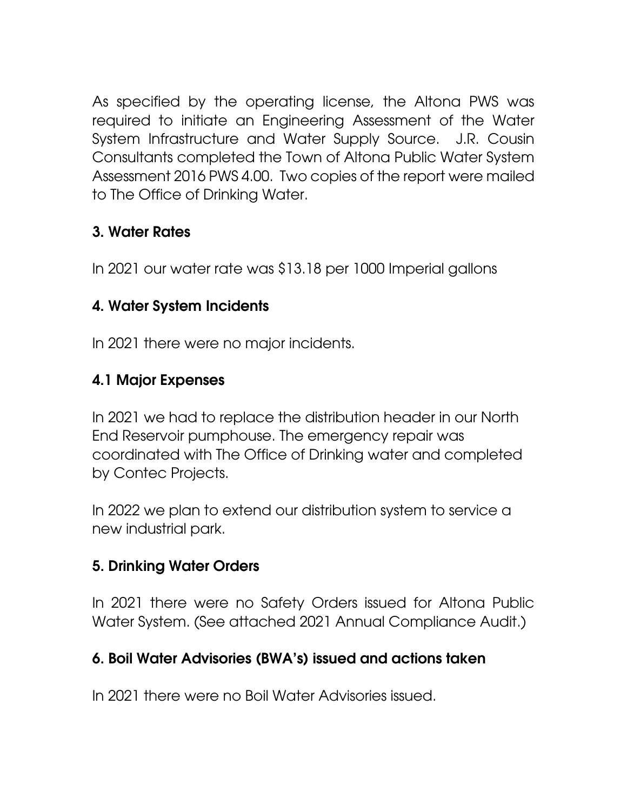As specified by the operating license, the Altona PWS was required to initiate an Engineering Assessment of the Water System Infrastructure and Water Supply Source. J.R. Cousin Consultants completed the Town of Altona Public Water System Assessment 2016 PWS 4.00. Two copies of the report were mailed to The Office of Drinking Water.

# 3. Water Rates

In 2021 our water rate was \$13.18 per 1000 Imperial gallons

### 4. Water System Incidents

In 2021 there were no major incidents.

# 4.1 Major Expenses

In 2021 we had to replace the distribution header in our North End Reservoir pumphouse. The emergency repair was coordinated with The Office of Drinking water and completed by Contec Projects.

In 2022 we plan to extend our distribution system to service a new industrial park.

### 5. Drinking Water Orders

In 2021 there were no Safety Orders issued for Altona Public Water System. (See attached 2021 Annual Compliance Audit.)

### 6. Boil Water Advisories (BWA's) issued and actions taken

In 2021 there were no Boil Water Advisories issued.